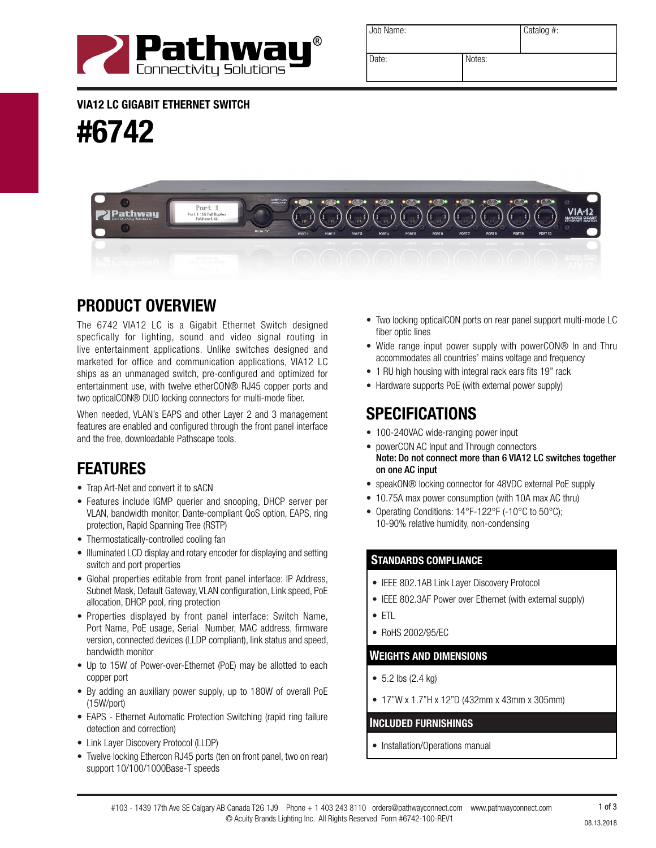

| Job Name: |        | Catalog #: |
|-----------|--------|------------|
| Date:     | Notes: |            |

VIA12 LC GIGABIT ETHERNET SWITCH

#6742



# PRODUCT OVERVIEW

The 6742 VIA12 LC is a Gigabit Ethernet Switch designed specfically for lighting, sound and video signal routing in live entertainment applications. Unlike switches designed and marketed for office and communication applications, VIA12 LC ships as an unmanaged switch, pre-configured and optimized for entertainment use, with twelve etherCON® RJ45 copper ports and two opticalCON® DUO locking connectors for multi-mode fiber.

When needed, VLAN's EAPS and other Layer 2 and 3 management features are enabled and configured through the front panel interface and the free, downloadable Pathscape tools.<br>
and the free, downloadable Pathscape tools.

## FEATURES

- Trap Art-Net and convert it to sACN
- Features include IGMP querier and snooping, DHCP server per VLAN, bandwidth monitor, Dante-compliant QoS option, EAPS, ring protection, Rapid Spanning Tree (RSTP)
- Thermostatically-controlled cooling fan
- Illuminated LCD display and rotary encoder for displaying and setting switch and port properties
- Global properties editable from front panel interface: IP Address, Subnet Mask, Default Gateway, VLAN configuration, Link speed, PoE allocation, DHCP pool, ring protection
- Properties displayed by front panel interface: Switch Name, Port Name, PoE usage, Serial Number, MAC address, firmware version, connected devices (LLDP compliant), link status and speed, bandwidth monitor
- Up to 15W of Power-over-Ethernet (PoE) may be allotted to each copper port
- By adding an auxiliary power supply, up to 180W of overall PoE (15W/port)
- EAPS Ethernet Automatic Protection Switching (rapid ring failure detection and correction)
- Link Layer Discovery Protocol (LLDP)
- Twelve locking Ethercon RJ45 ports (ten on front panel, two on rear) support 10/100/1000Base-T speeds
- Two locking opticalCON ports on rear panel support multi-mode LC fiber optic lines
- Wide range input power supply with powerCON® In and Thru accommodates all countries' mains voltage and frequency
- 1 RU high housing with integral rack ears fits 19" rack
- Hardware supports PoE (with external power supply)

## SPECIFICATIONS

- 
- powerCON AC Input and Through connectors Note: Do not connect more than 6 VIA12 LC switches together on one AC input
- speakON® locking connector for 48VDC external PoE supply
- 10.75A max power consumption (with 10A max AC thru)
- Operating Conditions: 14°F-122°F (-10°C to 50°C); 10-90% relative humidity, non-condensing

#### STANDARDS COMPLIANCE

- IEEE 802.1AB Link Layer Discovery Protocol
- IEEE 802.3AF Power over Ethernet (with external supply)
- ETL
- RoHS 2002/95/EC

#### WEIGHTS AND DIMENSIONS

- 5.2 lbs (2.4 kg)
- 17"W x 1.7"H x 12"D (432mm x 43mm x 305mm)

#### INCLUDED FURNISHINGS

• Installation/Operations manual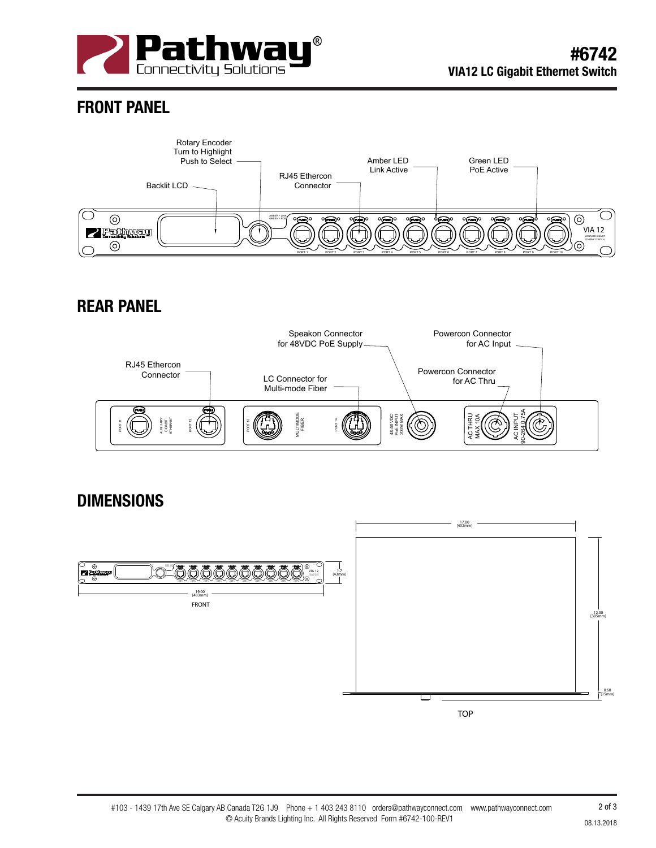

## FRONT PANEL



### REAR PANEL



#### DIMENSIONS